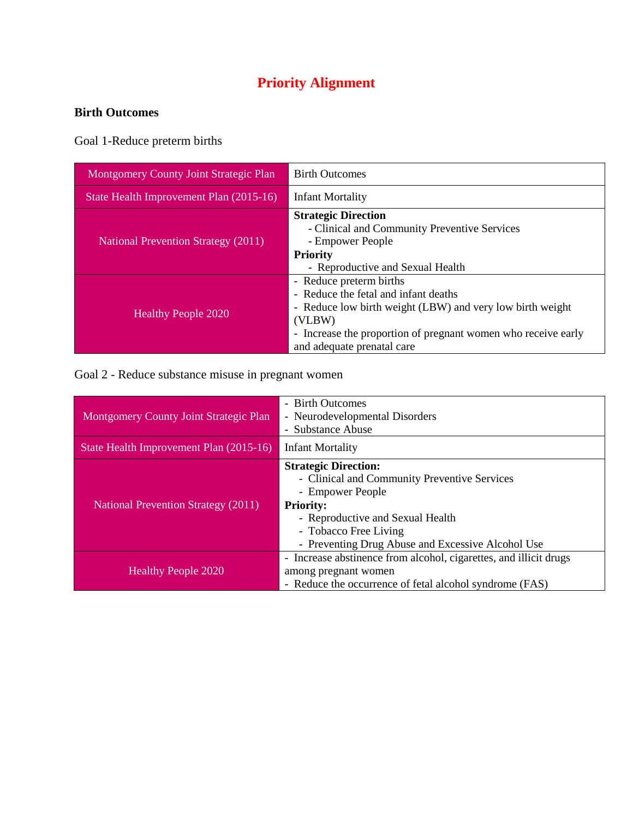## **Priority Alignment**

## **Birth Outcomes**

Goal 1-Reduce preterm births

| <b>Montgomery County Joint Strategic Plan</b> | <b>Birth Outcomes</b>                                                                                                                                                                                                                 |
|-----------------------------------------------|---------------------------------------------------------------------------------------------------------------------------------------------------------------------------------------------------------------------------------------|
| State Health Improvement Plan (2015-16)       | <b>Infant Mortality</b>                                                                                                                                                                                                               |
| <b>National Prevention Strategy (2011)</b>    | <b>Strategic Direction</b><br>- Clinical and Community Preventive Services<br>- Empower People<br><b>Priority</b><br>- Reproductive and Sexual Health                                                                                 |
| <b>Healthy People 2020</b>                    | - Reduce preterm births<br>- Reduce the fetal and infant deaths<br>- Reduce low birth weight (LBW) and very low birth weight<br>(VLBW)<br>- Increase the proportion of pregnant women who receive early<br>and adequate prenatal care |

Goal 2 - Reduce substance misuse in pregnant women

| Montgomery County Joint Strategic Plan     | - Birth Outcomes<br>- Neurodevelopmental Disorders<br>- Substance Abuse                                                                                                                                                               |
|--------------------------------------------|---------------------------------------------------------------------------------------------------------------------------------------------------------------------------------------------------------------------------------------|
| State Health Improvement Plan (2015-16)    | <b>Infant Mortality</b>                                                                                                                                                                                                               |
| <b>National Prevention Strategy (2011)</b> | <b>Strategic Direction:</b><br>- Clinical and Community Preventive Services<br>- Empower People<br><b>Priority:</b><br>- Reproductive and Sexual Health<br>- Tobacco Free Living<br>- Preventing Drug Abuse and Excessive Alcohol Use |
| <b>Healthy People 2020</b>                 | - Increase abstinence from alcohol, cigarettes, and illicit drugs<br>among pregnant women<br>- Reduce the occurrence of fetal alcohol syndrome (FAS)                                                                                  |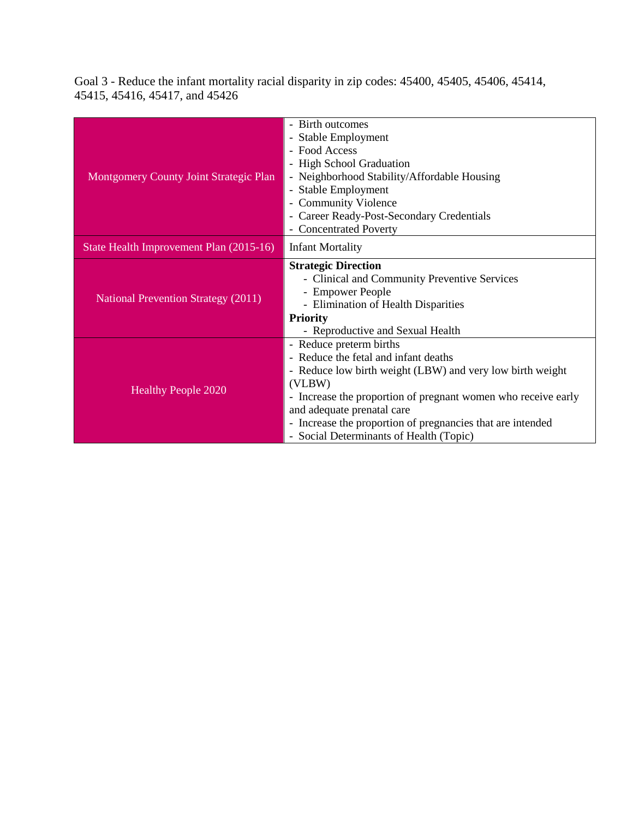Goal 3 - Reduce the infant mortality racial disparity in zip codes: 45400, 45405, 45406, 45414, 45415, 45416, 45417, and 45426

|                                               | - Birth outcomes                                                    |
|-----------------------------------------------|---------------------------------------------------------------------|
|                                               | - Stable Employment                                                 |
|                                               | - Food Access                                                       |
|                                               | - High School Graduation                                            |
| <b>Montgomery County Joint Strategic Plan</b> | - Neighborhood Stability/Affordable Housing                         |
|                                               | - Stable Employment                                                 |
|                                               | <b>Community Violence</b><br>$\overline{\phantom{0}}$               |
|                                               | Career Ready-Post-Secondary Credentials<br>$\overline{\phantom{a}}$ |
|                                               | <b>Concentrated Poverty</b>                                         |
| State Health Improvement Plan (2015-16)       | <b>Infant Mortality</b>                                             |
|                                               | <b>Strategic Direction</b>                                          |
|                                               | - Clinical and Community Preventive Services                        |
|                                               | - Empower People                                                    |
| <b>National Prevention Strategy (2011)</b>    | - Elimination of Health Disparities                                 |
|                                               | <b>Priority</b>                                                     |
|                                               | - Reproductive and Sexual Health                                    |
|                                               | - Reduce preterm births                                             |
|                                               | - Reduce the fetal and infant deaths                                |
|                                               | - Reduce low birth weight (LBW) and very low birth weight           |
| <b>Healthy People 2020</b>                    | (VLBW)                                                              |
|                                               | - Increase the proportion of pregnant women who receive early       |
|                                               | and adequate prenatal care                                          |
|                                               | - Increase the proportion of pregnancies that are intended          |
|                                               | - Social Determinants of Health (Topic)                             |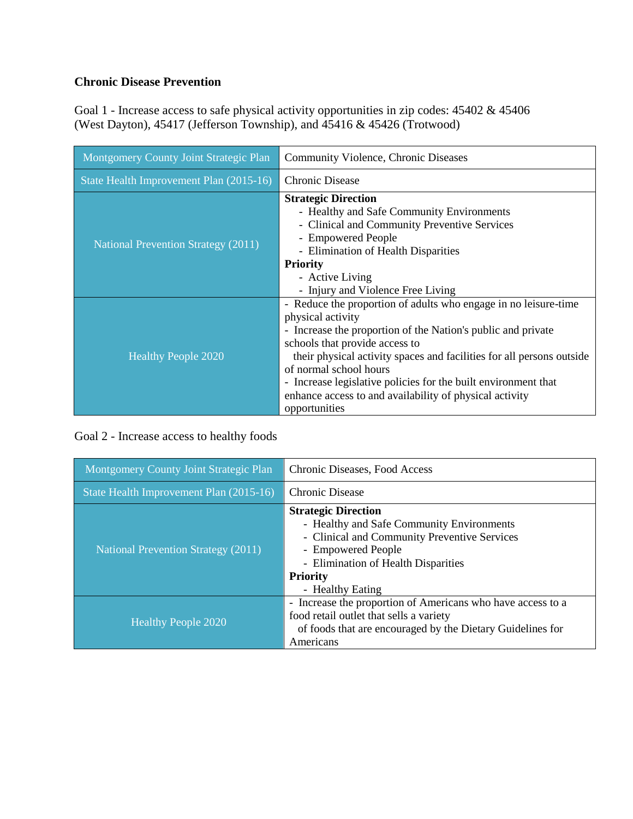## **Chronic Disease Prevention**

Goal 1 - Increase access to safe physical activity opportunities in zip codes: 45402 & 45406 (West Dayton), 45417 (Jefferson Township), and 45416 & 45426 (Trotwood)

| <b>Montgomery County Joint Strategic Plan</b> | <b>Community Violence, Chronic Diseases</b>                                                                                                                                                                                                                                                                                                                                                                                             |
|-----------------------------------------------|-----------------------------------------------------------------------------------------------------------------------------------------------------------------------------------------------------------------------------------------------------------------------------------------------------------------------------------------------------------------------------------------------------------------------------------------|
| State Health Improvement Plan (2015-16)       | <b>Chronic Disease</b>                                                                                                                                                                                                                                                                                                                                                                                                                  |
| <b>National Prevention Strategy (2011)</b>    | <b>Strategic Direction</b><br>- Healthy and Safe Community Environments<br>- Clinical and Community Preventive Services<br>- Empowered People<br>- Elimination of Health Disparities<br><b>Priority</b><br>- Active Living<br>- Injury and Violence Free Living                                                                                                                                                                         |
| <b>Healthy People 2020</b>                    | - Reduce the proportion of adults who engage in no leisure-time<br>physical activity<br>- Increase the proportion of the Nation's public and private<br>schools that provide access to<br>their physical activity spaces and facilities for all persons outside<br>of normal school hours<br>- Increase legislative policies for the built environment that<br>enhance access to and availability of physical activity<br>opportunities |

Goal 2 - Increase access to healthy foods

| Montgomery County Joint Strategic Plan     | Chronic Diseases, Food Access                                                                                                                                                                                               |
|--------------------------------------------|-----------------------------------------------------------------------------------------------------------------------------------------------------------------------------------------------------------------------------|
| State Health Improvement Plan (2015-16)    | <b>Chronic Disease</b>                                                                                                                                                                                                      |
| <b>National Prevention Strategy (2011)</b> | <b>Strategic Direction</b><br>- Healthy and Safe Community Environments<br>- Clinical and Community Preventive Services<br>- Empowered People<br>- Elimination of Health Disparities<br><b>Priority</b><br>- Healthy Eating |
| <b>Healthy People 2020</b>                 | Increase the proportion of Americans who have access to a<br>$\overline{\phantom{a}}$<br>food retail outlet that sells a variety<br>of foods that are encouraged by the Dietary Guidelines for<br>Americans                 |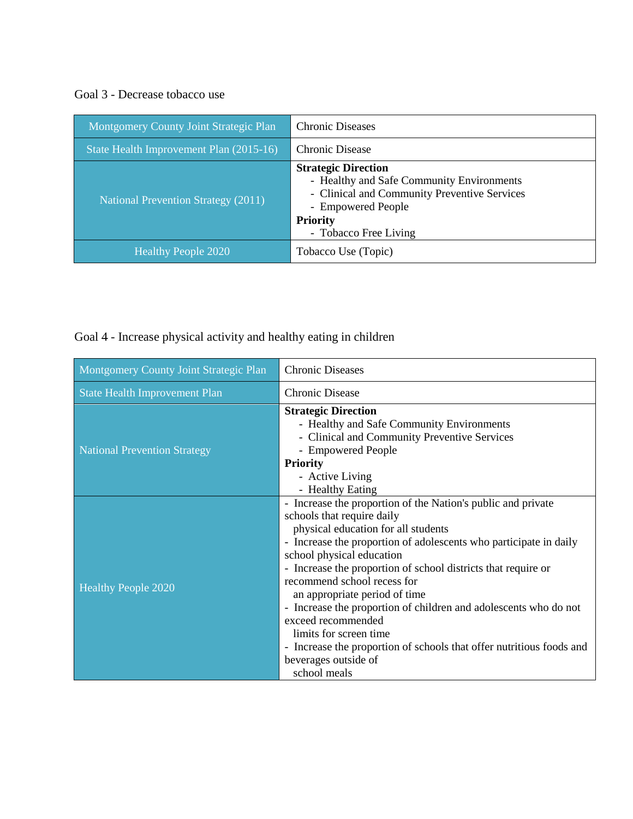Goal 3 - Decrease tobacco use

| Montgomery County Joint Strategic Plan     | <b>Chronic Diseases</b>                                                                                                                                                                   |
|--------------------------------------------|-------------------------------------------------------------------------------------------------------------------------------------------------------------------------------------------|
| State Health Improvement Plan (2015-16)    | Chronic Disease                                                                                                                                                                           |
| <b>National Prevention Strategy (2011)</b> | <b>Strategic Direction</b><br>- Healthy and Safe Community Environments<br>- Clinical and Community Preventive Services<br>- Empowered People<br><b>Priority</b><br>- Tobacco Free Living |
| <b>Healthy People 2020</b>                 | Tobacco Use (Topic)                                                                                                                                                                       |

Goal 4 - Increase physical activity and healthy eating in children

| Montgomery County Joint Strategic Plan | <b>Chronic Diseases</b>                                                                                                                                                                                                                                                                                                                                                                                                                                                                                                                                                                                  |
|----------------------------------------|----------------------------------------------------------------------------------------------------------------------------------------------------------------------------------------------------------------------------------------------------------------------------------------------------------------------------------------------------------------------------------------------------------------------------------------------------------------------------------------------------------------------------------------------------------------------------------------------------------|
| <b>State Health Improvement Plan</b>   | <b>Chronic Disease</b>                                                                                                                                                                                                                                                                                                                                                                                                                                                                                                                                                                                   |
| <b>National Prevention Strategy</b>    | <b>Strategic Direction</b><br>- Healthy and Safe Community Environments<br>- Clinical and Community Preventive Services<br>- Empowered People<br><b>Priority</b><br>- Active Living<br>- Healthy Eating                                                                                                                                                                                                                                                                                                                                                                                                  |
| <b>Healthy People 2020</b>             | - Increase the proportion of the Nation's public and private<br>schools that require daily<br>physical education for all students<br>- Increase the proportion of adolescents who participate in daily<br>school physical education<br>- Increase the proportion of school districts that require or<br>recommend school recess for<br>an appropriate period of time<br>- Increase the proportion of children and adolescents who do not<br>exceed recommended<br>limits for screen time<br>- Increase the proportion of schools that offer nutritious foods and<br>beverages outside of<br>school meals |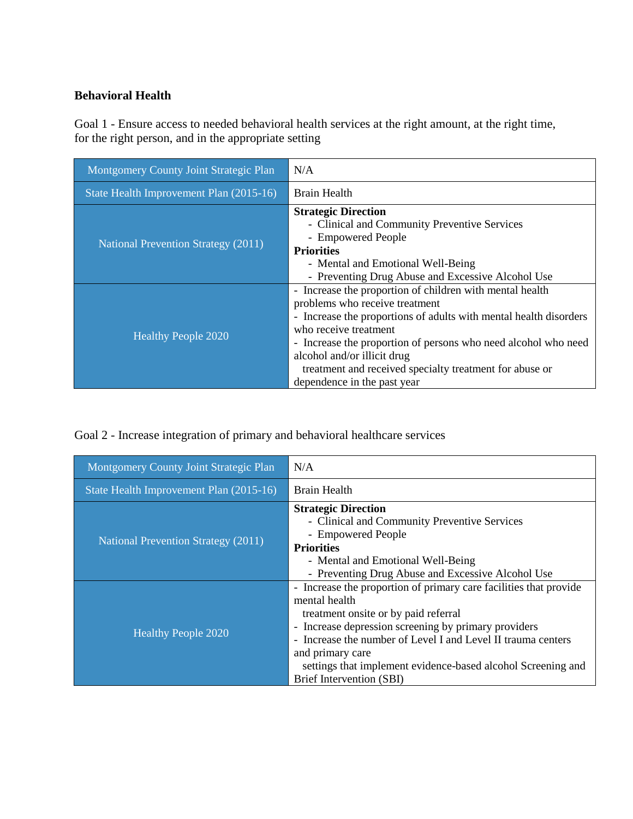## **Behavioral Health**

Goal 1 - Ensure access to needed behavioral health services at the right amount, at the right time, for the right person, and in the appropriate setting

| Montgomery County Joint Strategic Plan     | N/A                                                                                                                                                                                                                                                                                                                                                                                 |
|--------------------------------------------|-------------------------------------------------------------------------------------------------------------------------------------------------------------------------------------------------------------------------------------------------------------------------------------------------------------------------------------------------------------------------------------|
| State Health Improvement Plan (2015-16)    | Brain Health                                                                                                                                                                                                                                                                                                                                                                        |
| <b>National Prevention Strategy (2011)</b> | <b>Strategic Direction</b><br>- Clinical and Community Preventive Services<br>- Empowered People<br><b>Priorities</b><br>- Mental and Emotional Well-Being<br>- Preventing Drug Abuse and Excessive Alcohol Use                                                                                                                                                                     |
| <b>Healthy People 2020</b>                 | - Increase the proportion of children with mental health<br>problems who receive treatment<br>- Increase the proportions of adults with mental health disorders<br>who receive treatment<br>- Increase the proportion of persons who need alcohol who need<br>alcohol and/or illicit drug<br>treatment and received specialty treatment for abuse or<br>dependence in the past year |

Goal 2 - Increase integration of primary and behavioral healthcare services

| Montgomery County Joint Strategic Plan     | N/A                                                                                                                                                                                                                                                                                                                                                                |
|--------------------------------------------|--------------------------------------------------------------------------------------------------------------------------------------------------------------------------------------------------------------------------------------------------------------------------------------------------------------------------------------------------------------------|
| State Health Improvement Plan (2015-16)    | <b>Brain Health</b>                                                                                                                                                                                                                                                                                                                                                |
| <b>National Prevention Strategy (2011)</b> | <b>Strategic Direction</b><br>- Clinical and Community Preventive Services<br>- Empowered People<br><b>Priorities</b><br>- Mental and Emotional Well-Being<br>- Preventing Drug Abuse and Excessive Alcohol Use                                                                                                                                                    |
| <b>Healthy People 2020</b>                 | - Increase the proportion of primary care facilities that provide<br>mental health<br>treatment onsite or by paid referral<br>- Increase depression screening by primary providers<br>- Increase the number of Level I and Level II trauma centers<br>and primary care<br>settings that implement evidence-based alcohol Screening and<br>Brief Intervention (SBI) |